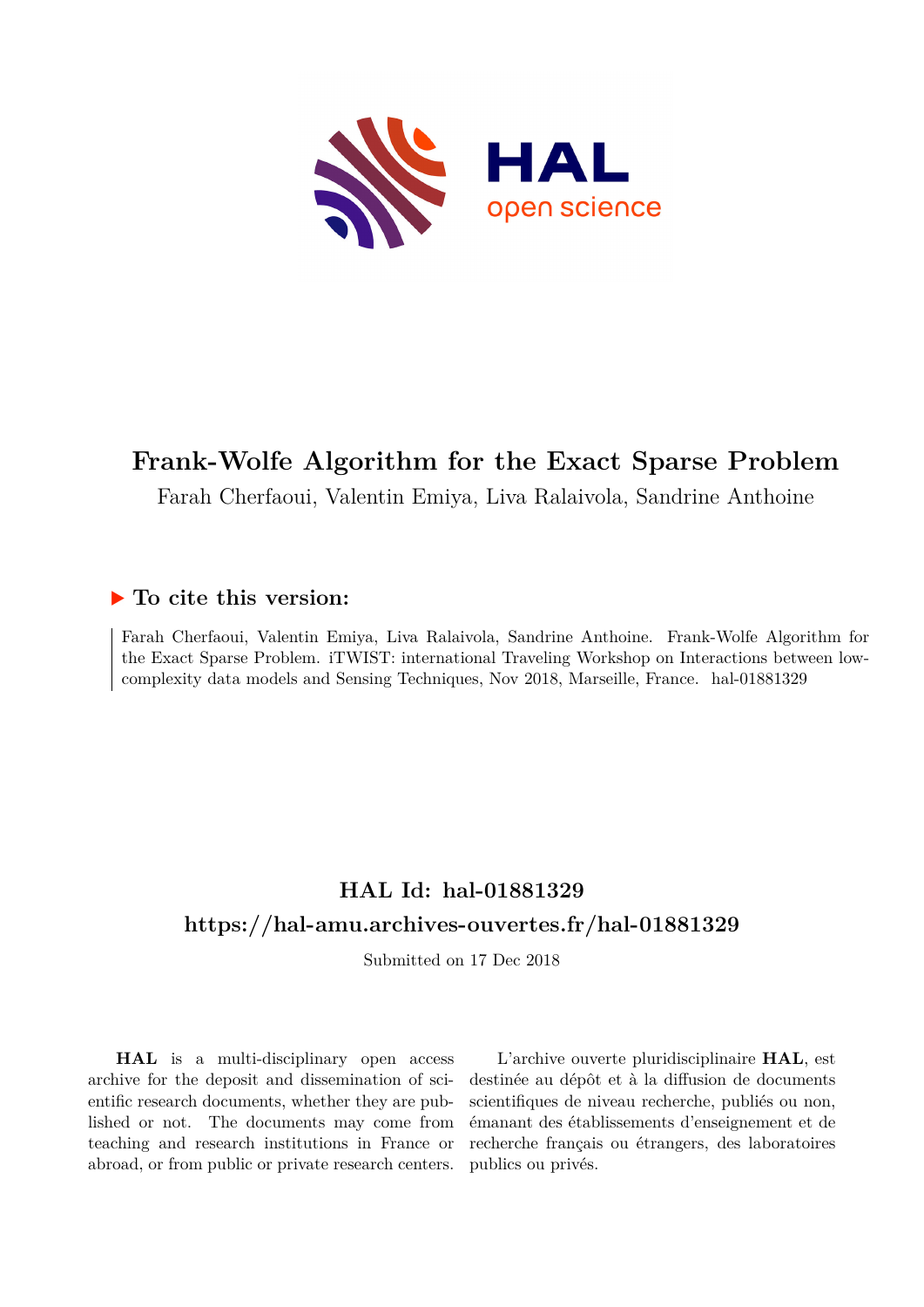

# **Frank-Wolfe Algorithm for the Exact Sparse Problem**

Farah Cherfaoui, Valentin Emiya, Liva Ralaivola, Sandrine Anthoine

# **To cite this version:**

Farah Cherfaoui, Valentin Emiya, Liva Ralaivola, Sandrine Anthoine. Frank-Wolfe Algorithm for the Exact Sparse Problem. iTWIST: international Traveling Workshop on Interactions between lowcomplexity data models and Sensing Techniques, Nov 2018, Marseille, France. hal-01881329

# **HAL Id: hal-01881329 <https://hal-amu.archives-ouvertes.fr/hal-01881329>**

Submitted on 17 Dec 2018

**HAL** is a multi-disciplinary open access archive for the deposit and dissemination of scientific research documents, whether they are published or not. The documents may come from teaching and research institutions in France or abroad, or from public or private research centers.

L'archive ouverte pluridisciplinaire **HAL**, est destinée au dépôt et à la diffusion de documents scientifiques de niveau recherche, publiés ou non, émanant des établissements d'enseignement et de recherche français ou étrangers, des laboratoires publics ou privés.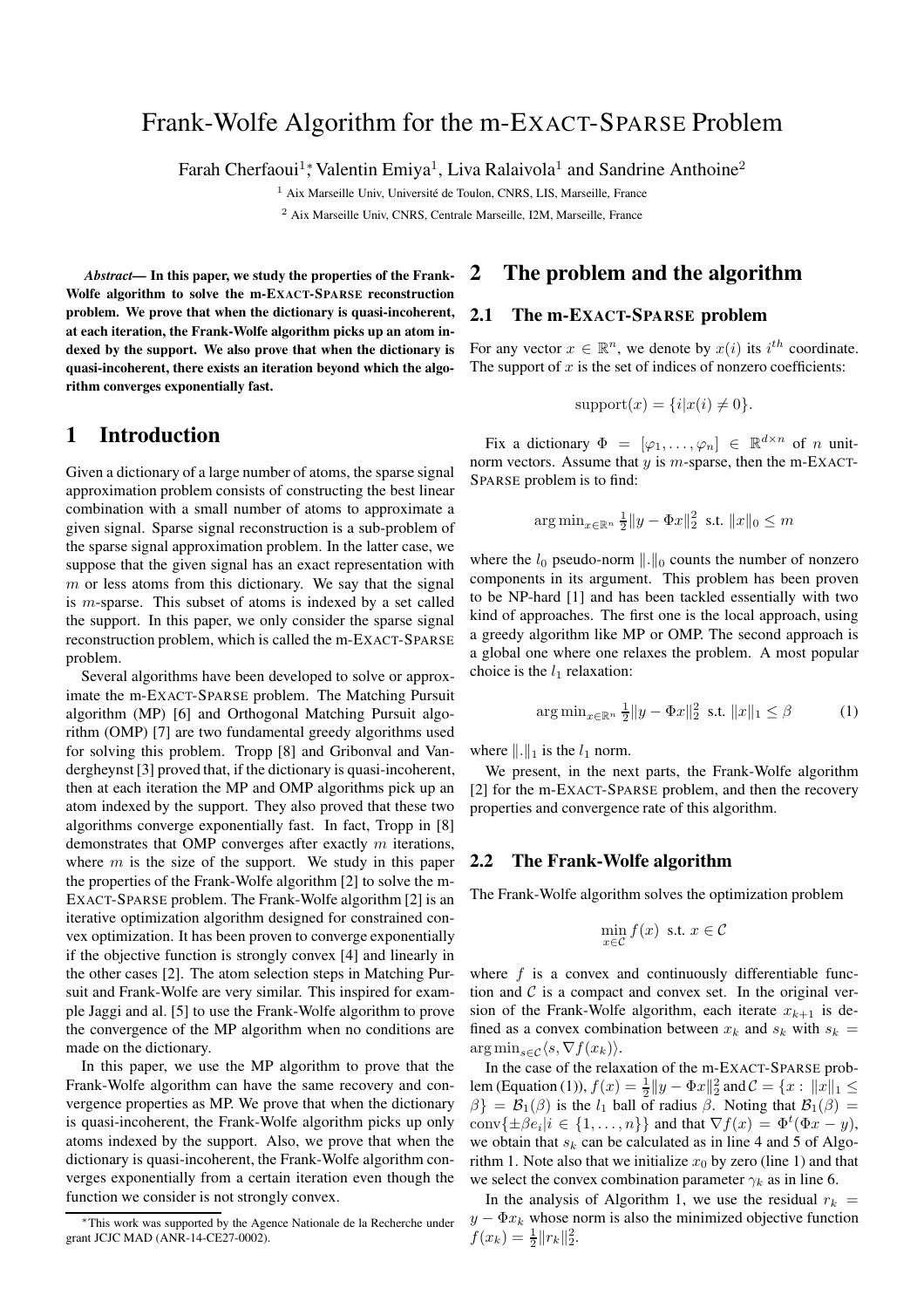## Frank-Wolfe Algorithm for the m-EXACT-SPARSE Problem

Farah Cherfaoui<sup>1</sup>; Valentin Emiya<sup>1</sup>, Liva Ralaivola<sup>1</sup> and Sandrine Anthoine<sup>2</sup>

<sup>1</sup> Aix Marseille Univ, Université de Toulon, CNRS, LIS, Marseille, France <sup>2</sup> Aix Marseille Univ, CNRS, Centrale Marseille, I2M, Marseille, France

*Abstract—* In this paper, we study the properties of the Frank-Wolfe algorithm to solve the m-EXACT-SPARSE reconstruction problem. We prove that when the dictionary is quasi-incoherent, at each iteration, the Frank-Wolfe algorithm picks up an atom indexed by the support. We also prove that when the dictionary is quasi-incoherent, there exists an iteration beyond which the algorithm converges exponentially fast.

### 1 Introduction

Given a dictionary of a large number of atoms, the sparse signal approximation problem consists of constructing the best linear combination with a small number of atoms to approximate a given signal. Sparse signal reconstruction is a sub-problem of the sparse signal approximation problem. In the latter case, we suppose that the given signal has an exact representation with  $m$  or less atoms from this dictionary. We say that the signal is m-sparse. This subset of atoms is indexed by a set called the support. In this paper, we only consider the sparse signal reconstruction problem, which is called the m-EXACT-SPARSE problem.

Several algorithms have been developed to solve or approximate the m-EXACT-SPARSE problem. The Matching Pursuit algorithm (MP) [6] and Orthogonal Matching Pursuit algorithm (OMP) [7] are two fundamental greedy algorithms used for solving this problem. Tropp [8] and Gribonval and Vandergheynst [3] proved that, if the dictionary is quasi-incoherent, then at each iteration the MP and OMP algorithms pick up an atom indexed by the support. They also proved that these two algorithms converge exponentially fast. In fact, Tropp in [8] demonstrates that OMP converges after exactly m iterations, where  $m$  is the size of the support. We study in this paper the properties of the Frank-Wolfe algorithm [2] to solve the m-EXACT-SPARSE problem. The Frank-Wolfe algorithm [2] is an iterative optimization algorithm designed for constrained convex optimization. It has been proven to converge exponentially if the objective function is strongly convex [4] and linearly in the other cases [2]. The atom selection steps in Matching Pursuit and Frank-Wolfe are very similar. This inspired for example Jaggi and al. [5] to use the Frank-Wolfe algorithm to prove the convergence of the MP algorithm when no conditions are made on the dictionary.

In this paper, we use the MP algorithm to prove that the Frank-Wolfe algorithm can have the same recovery and convergence properties as MP. We prove that when the dictionary is quasi-incoherent, the Frank-Wolfe algorithm picks up only atoms indexed by the support. Also, we prove that when the dictionary is quasi-incoherent, the Frank-Wolfe algorithm converges exponentially from a certain iteration even though the function we consider is not strongly convex.

### 2 The problem and the algorithm

#### 2.1 The m-EXACT-SPARSE problem

For any vector  $x \in \mathbb{R}^n$ , we denote by  $x(i)$  its  $i^{th}$  coordinate. The support of  $x$  is the set of indices of nonzero coefficients:

$$
support(x) = \{i|x(i) \neq 0\}.
$$

Fix a dictionary  $\Phi = [\varphi_1, \dots, \varphi_n] \in \mathbb{R}^{d \times n}$  of *n* unitnorm vectors. Assume that  $y$  is  $m$ -sparse, then the m-EXACT-SPARSE problem is to find:

$$
\arg\min_{x\in\mathbb{R}^n} \frac{1}{2} \|y - \Phi x\|_2^2 \text{ s.t. } \|x\|_0 \le m
$$

where the  $l_0$  pseudo-norm  $\Vert . \Vert_0$  counts the number of nonzero components in its argument. This problem has been proven to be NP-hard [1] and has been tackled essentially with two kind of approaches. The first one is the local approach, using a greedy algorithm like MP or OMP. The second approach is a global one where one relaxes the problem. A most popular choice is the  $l_1$  relaxation:

$$
\arg\min_{x \in \mathbb{R}^n} \frac{1}{2} \|y - \Phi x\|_2^2 \text{ s.t. } \|x\|_1 \le \beta \tag{1}
$$

where  $\|\cdot\|_1$  is the  $l_1$  norm.

We present, in the next parts, the Frank-Wolfe algorithm [2] for the m-EXACT-SPARSE problem, and then the recovery properties and convergence rate of this algorithm.

#### 2.2 The Frank-Wolfe algorithm

The Frank-Wolfe algorithm solves the optimization problem

$$
\min_{x \in \mathcal{C}} f(x) \text{ s.t. } x \in \mathcal{C}
$$

where  $f$  is a convex and continuously differentiable function and  $C$  is a compact and convex set. In the original version of the Frank-Wolfe algorithm, each iterate  $x_{k+1}$  is defined as a convex combination between  $x_k$  and  $s_k$  with  $s_k$  =  $\arg \min_{s \in \mathcal{C}} \langle s, \nabla f(x_k) \rangle.$ 

In the case of the relaxation of the m-EXACT-SPARSE problem (Equation (1)),  $f(x) = \frac{1}{2} ||y - \Phi x||_2^2$  and  $C = \{x : ||x||_1 \le$  $\{\beta\} = \mathcal{B}_1(\beta)$  is the  $l_1$  ball of radius  $\beta$ . Noting that  $\mathcal{B}_1(\beta) =$  $\text{conv}\{\pm \beta e_i | i \in \{1,\ldots,n\}\}\$  and that  $\nabla f(x) = \Phi^t(\Phi x - y)$ , we obtain that  $s_k$  can be calculated as in line 4 and 5 of Algorithm 1. Note also that we initialize  $x_0$  by zero (line 1) and that we select the convex combination parameter  $\gamma_k$  as in line 6.

In the analysis of Algorithm 1, we use the residual  $r_k$  =  $y - \Phi x_k$  whose norm is also the minimized objective function  $f(x_k) = \frac{1}{2} ||r_k||_2^2.$ 

<sup>∗</sup>This work was supported by the Agence Nationale de la Recherche under grant JCJC MAD (ANR-14-CE27-0002).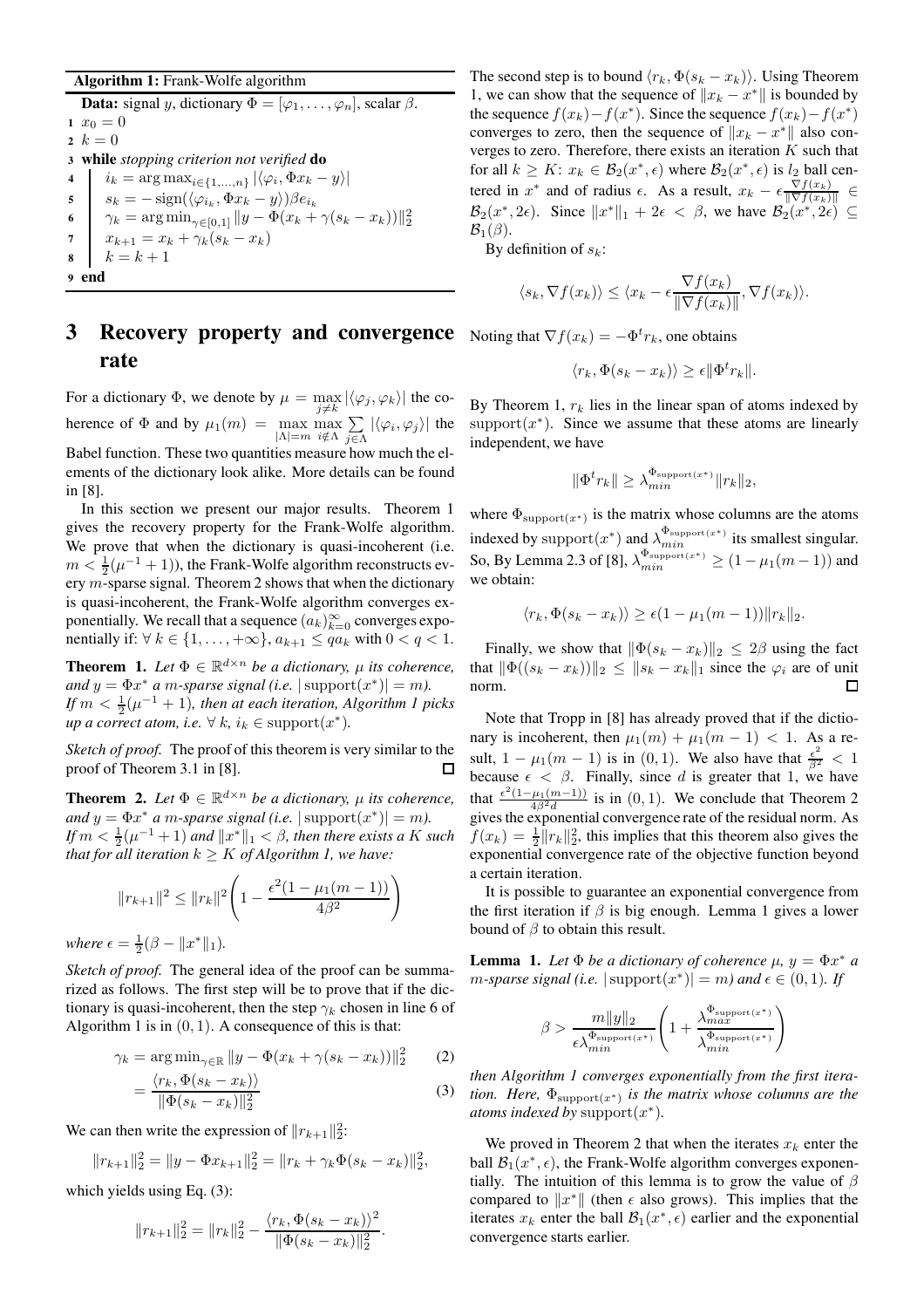#### Algorithm 1: Frank-Wolfe algorithm

**Data:** signal y, dictionary  $\Phi = [\varphi_1, \dots, \varphi_n]$ , scalar  $\beta$ . 1  $x_0 = 0$ 2  $k = 0$ <sup>3</sup> while *stopping criterion not verified* do 4  $i_k = \arg \max_{i \in \{1,...,n\}} |\langle \varphi_i, \Phi x_k - y \rangle|$ 5 |  $s_k = -\text{sign}(\langle \varphi_{i_k}, \Phi x_k - y \rangle) \beta e_{i_k}$ 6  $\|\gamma_k = \argmin_{\gamma \in [0,1]} \|y - \Phi(x_k + \gamma(s_k - x_k))\|_2^2$ 7  $x_{k+1} = x_k + \gamma_k(s_k - x_k)$ 8  $k = k + 1$ 9 end

## **3** Recovery property and convergence Noting that  $\nabla f(x_k) = -\Phi^t r_k$ , one obtains rate

For a dictionary  $\Phi$ , we denote by  $\mu = \max_{j \neq k} |\langle \varphi_j, \varphi_k \rangle|$  the coherence of  $\Phi$  and by  $\mu_1(m) = \max_{|\Lambda| = m} \max_{i \notin \Lambda} \sum_{i \in \Lambda}$  $\sum_{j\in\Lambda} |\langle \varphi_i, \varphi_j \rangle|$  the Babel function. These two quantities measure how much the elements of the dictionary look alike. More details can be found in [8].

In this section we present our major results. Theorem 1 gives the recovery property for the Frank-Wolfe algorithm. We prove that when the dictionary is quasi-incoherent (i.e.  $m < \frac{1}{2}(\mu^{-1} + 1)$ ), the Frank-Wolfe algorithm reconstructs every  $m$ -sparse signal. Theorem 2 shows that when the dictionary is quasi-incoherent, the Frank-Wolfe algorithm converges exponentially. We recall that a sequence  $(a_k)_{k=0}^{\infty}$  converges exponentially if:  $\forall k \in \{1, \ldots, +\infty\}, a_{k+1} \leq qa_k$  with  $0 < q < 1$ .

**Theorem 1.** Let  $\Phi \in \mathbb{R}^{d \times n}$  be a dictionary,  $\mu$  its coherence, *and*  $y = \Phi x^*$  *a m-sparse signal (i.e.*  $|\text{support}(x^*)| = m$ ). *If*  $m < \frac{1}{2}(\mu^{-1} + 1)$ *, then at each iteration, Algorithm 1 picks up a correct atom, i.e.*  $\forall k, i_k \in \text{support}(x^*)$ *.* 

*Sketch of proof.* The proof of this theorem is very similar to the proof of Theorem 3.1 in [8].  $\Box$ 

**Theorem 2.** Let  $\Phi \in \mathbb{R}^{d \times n}$  be a dictionary,  $\mu$  its coherence, *and*  $y = \Phi x^*$  *a m-sparse signal (i.e.*  $|\text{support}(x^*)| = m$ ). *If*  $m < \frac{1}{2}(\mu^{-1} + 1)$  *and*  $||x^*||_1 < \beta$ *, then there exists a* K *such that for all iteration*  $k \geq K$  *of Algorithm 1, we have:* 

$$
||r_{k+1}||^2 \le ||r_k||^2 \left(1 - \frac{\epsilon^2 (1 - \mu_1(m-1))}{4\beta^2}\right)
$$
  

$$
\epsilon = \frac{1}{2}(\beta - ||x^*||_1).
$$

*Sketch of proof.* The general idea of the proof can be summarized as follows. The first step will be to prove that if the dictionary is quasi-incoherent, then the step  $\gamma_k$  chosen in line 6 of Algorithm 1 is in  $(0, 1)$ . A consequence of this is that:

$$
\gamma_k = \arg \min_{\gamma \in \mathbb{R}} \|y - \Phi(x_k + \gamma(s_k - x_k))\|_2^2 \qquad (2)
$$

$$
= \frac{\langle r_k, \Phi(s_k - x_k) \rangle}{\|\Phi(s_k - x_k)\|_2^2} \tag{3}
$$

We can then write the expression of  $||r_{k+1}||_2^2$ :

$$
||r_{k+1}||_2^2 = ||y - \Phi x_{k+1}||_2^2 = ||r_k + \gamma_k \Phi(s_k - x_k)||_2^2,
$$

which yields using Eq. (3):

 $where$ 

$$
||r_{k+1}||_2^2 = ||r_k||_2^2 - \frac{\langle r_k, \Phi(s_k - x_k) \rangle^2}{||\Phi(s_k - x_k)||_2^2}.
$$

The second step is to bound  $\langle r_k, \Phi(s_k - x_k) \rangle$ . Using Theorem 1, we can show that the sequence of  $||x_k - x^*||$  is bounded by the sequence  $f(x_k) - f(x^*)$ . Since the sequence  $f(x_k) - f(x^*)$ converges to zero, then the sequence of  $||x_k - x^*||$  also converges to zero. Therefore, there exists an iteration  $K$  such that for all  $k \geq K$ :  $x_k \in \mathcal{B}_2(x^*, \epsilon)$  where  $\mathcal{B}_2(x^*, \epsilon)$  is  $l_2$  ball centered in  $x^*$  and of radius  $\epsilon$ . As a result,  $x_k - \epsilon \frac{\nabla f(x_k)}{\|\nabla f(x_k)\|}$  $\frac{\nabla f(x_k)}{\|\nabla f(x_k)\|} \in$  $\mathcal{B}_2(x^*, 2\epsilon)$ . Since  $||x^*||_1 + 2\epsilon < \beta$ , we have  $\mathcal{B}_2(x^*, 2\epsilon) \subseteq$  $\mathcal{B}_1(\beta)$ .

By definition of  $s_k$ :

$$
\langle s_k, \nabla f(x_k) \rangle \le \langle x_k - \epsilon \frac{\nabla f(x_k)}{\|\nabla f(x_k)\|}, \nabla f(x_k) \rangle.
$$

$$
\langle r_k, \Phi(s_k - x_k) \rangle \ge \epsilon \|\Phi^t r_k\|.
$$

By Theorem 1,  $r_k$  lies in the linear span of atoms indexed by support $(x^*)$ . Since we assume that these atoms are linearly independent, we have

$$
\|\Phi^t r_k\| \ge \lambda_{min}^{\Phi_{\text{support}(x^*)}} \|r_k\|_2,
$$

where  $\Phi_{\text{support}(x^*)}$  is the matrix whose columns are the atoms indexed by support $(x^*)$  and  $\lambda_{min}^{\Phi_{\text{support}}(x^*)}$  its smallest singular. So, By Lemma 2.3 of [8],  $\lambda_{min}^{\Phi_{\text{support}(x^*)}} \ge (1 - \mu_1(m - 1))$  and we obtain:

$$
\langle r_k, \Phi(s_k - x_k) \rangle \ge \epsilon (1 - \mu_1(m - 1)) \|r_k\|_2.
$$

Finally, we show that  $\|\Phi(s_k - x_k)\|_2 \leq 2\beta$  using the fact that  $\|\Phi((s_k - x_k))\|_2 \leq \|s_k - x_k\|_1$  since the  $\varphi_i$  are of unit norm.  $\Box$ 

Note that Tropp in [8] has already proved that if the dictionary is incoherent, then  $\mu_1(m) + \mu_1(m - 1) < 1$ . As a result,  $1 - \mu_1(m - 1)$  is in (0, 1). We also have that  $\frac{\epsilon^2}{\beta^2} < 1$ because  $\epsilon < \beta$ . Finally, since d is greater that 1, we have that  $\frac{\epsilon^2(1-\mu_1(m-1))}{4\beta^2d}$  is in  $(0, 1)$ . We conclude that Theorem 2 gives the exponential convergence rate of the residual norm. As  $f(x_k) = \frac{1}{2} ||r_k||_2^2$ , this implies that this theorem also gives the exponential convergence rate of the objective function beyond a certain iteration.

It is possible to guarantee an exponential convergence from the first iteration if  $\beta$  is big enough. Lemma 1 gives a lower bound of  $\beta$  to obtain this result.

**Lemma 1.** Let  $\Phi$  be a dictionary of coherence  $\mu$ ,  $y = \Phi x^*$  a  $m$ *-sparse signal (i.e.*  $|\text{ support}(x^*)| = m$ ) and  $\epsilon \in (0, 1)$ *. If* 

$$
\beta > \frac{m||y||_2}{\epsilon \lambda_{min}^{\Phi_{\text{support}(x^*)}}}\left(1 + \frac{\lambda_{max}^{\Phi_{\text{support}(x^*)}}}{\lambda_{min}^{\Phi_{\text{support}(x^*)}}}\right)
$$

*then Algorithm 1 converges exponentially from the first iteration. Here,* Φsupport(x∗) *is the matrix whose columns are the atoms indexed by* support $(x^*)$ .

We proved in Theorem 2 that when the iterates  $x_k$  enter the ball  $\mathcal{B}_1(x^*, \epsilon)$ , the Frank-Wolfe algorithm converges exponentially. The intuition of this lemma is to grow the value of  $\beta$ compared to  $||x^*||$  (then  $\epsilon$  also grows). This implies that the iterates  $x_k$  enter the ball  $\mathcal{B}_1(x^*, \epsilon)$  earlier and the exponential convergence starts earlier.